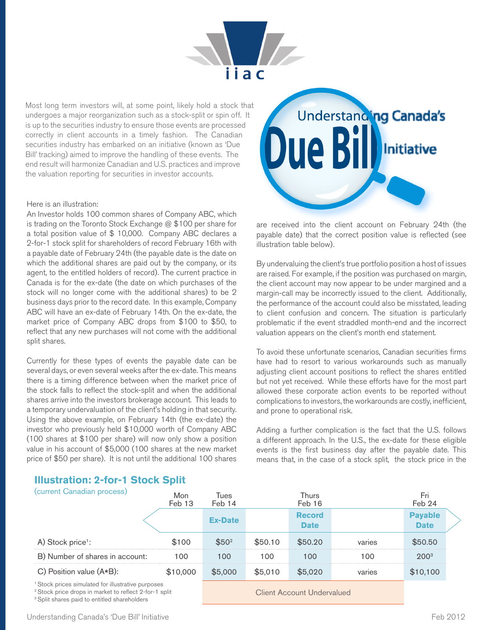

Most long term investors will, at some point, likely hold a stock that undergoes a major reorganization such as a stock-split or spin off. It is up to the securities industry to ensure those events are processed correctly in client accounts in a timely fashion. The Canadian securities industry has embarked on an initiative (known as 'Due Bill' tracking) aimed to improve the handling of these events. The end result will harmonize Canadian and U.S. practices and improve the valuation reporting for securities in investor accounts.

#### Here is an illustration:

An Investor holds 100 common shares of Company ABC, which is trading on the Toronto Stock Exchange @ \$100 per share for a total position value of \$ 10,000. Company ABC declares a 2-for-1 stock split for shareholders of record February 16th with a payable date of February 24th (the payable date is the date on which the additional shares are paid out by the company, or its agent, to the entitled holders of record). The current practice in Canada is for the ex-date (the date on which purchases of the stock will no longer come with the additional shares) to be 2 business days prior to the record date. In this example, Company ABC will have an ex-date of February 14th. On the ex-date, the market price of Company ABC drops from \$100 to \$50, to reflect that any new purchases will not come with the additional split shares.

Currently for these types of events the payable date can be several days, or even several weeks after the ex-date. This means there is a timing difference between when the market price of the stock falls to reflect the stock-split and when the additional shares arrive into the investors brokerage account. This leads to a temporary undervaluation of the client's holding in that security. Using the above example, on February 14th (the ex-date) the investor who previously held \$10,000 worth of Company ABC (100 shares at \$100 per share) will now only show a position value in his account of \$5,000 (100 shares at the new market price of \$50 per share). It is not until the additional 100 shares



are received into the client account on February 24th (the payable date) that the correct position value is reflected (see illustration table below).

By undervaluing the client's true portfolio position a host of issues are raised. For example, if the position was purchased on margin, the client account may now appear to be under margined and a margin-call may be incorrectly issued to the client. Additionally, the performance of the account could also be misstated, leading to client confusion and concern. The situation is particularly problematic if the event straddled month-end and the incorrect valuation appears on the client's month end statement.

To avoid these unfortunate scenarios, Canadian securities firms have had to resort to various workarounds such as manually adjusting client account positions to reflect the shares entitled but not yet received. While these efforts have for the most part allowed these corporate action events to be reported without complications to investors, the workarounds are costly, inefficient, and prone to operational risk.

Adding a further complication is the fact that the U.S. follows a different approach. In the U.S., the ex-date for these eligible events is the first business day after the payable date. This means that, in the case of a stock split, the stock price in the

| (current Canadian process)                                                                                                         | Mon<br>Feb 13 | Tues<br>Feb 14             |         | Thurs<br>Feb 16              |        | Fri<br>Feb 24                 |  |
|------------------------------------------------------------------------------------------------------------------------------------|---------------|----------------------------|---------|------------------------------|--------|-------------------------------|--|
|                                                                                                                                    |               | <b>Ex-Date</b>             |         | <b>Record</b><br><b>Date</b> |        | <b>Payable</b><br><b>Date</b> |  |
| A) Stock price <sup>1</sup> :                                                                                                      | \$100         | \$50 <sup>2</sup>          | \$50.10 | \$50.20                      | varies | \$50.50                       |  |
| B) Number of shares in account:                                                                                                    | 100           | 100                        | 100     | 100                          | 100    | $200^{3}$                     |  |
| C) Position value $(A*B)$ :                                                                                                        | \$10,000      | \$5,000                    | \$5,010 | \$5,020                      | varies | \$10,100                      |  |
| <sup>1</sup> Stock prices simulated for illustrative purposes<br><sup>2</sup> Stock price drops in market to reflect 2-for-1 split |               | Client Account Undervalued |         |                              |        |                               |  |

# **Illustration: 2-for-1 Stock Split**

<sup>3</sup> Split shares paid to entitled shareholders